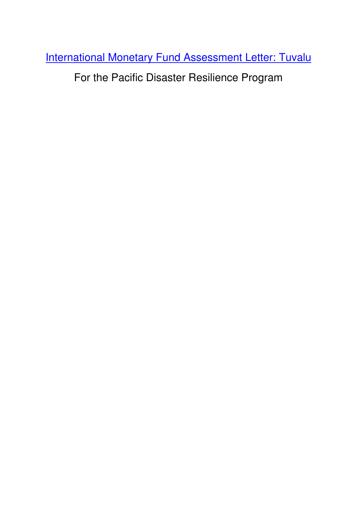International Monetary Fund Assessment Letter: Tuvalu

For the Pacific Disaster Resilience Program